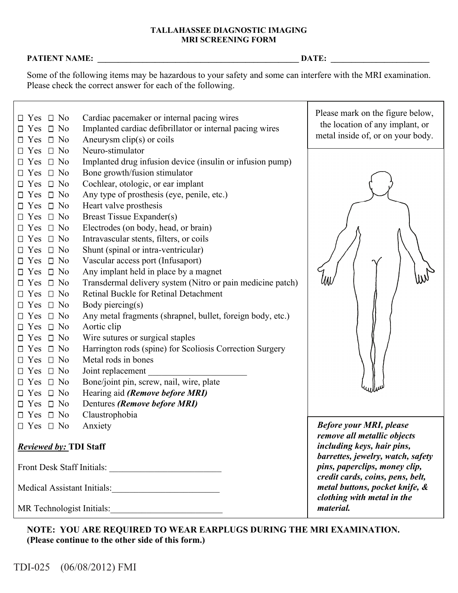## **TALLAHASSEE DIAGNOSTIC IMAGING MRI SCREENING FORM**

## **PATIENT NAME: \_\_\_\_\_\_\_\_\_\_\_\_\_\_\_\_\_\_\_\_\_\_\_\_\_\_\_\_\_\_\_\_\_\_\_\_\_\_\_\_\_\_\_\_\_\_\_\_\_ DATE: \_\_\_\_\_\_\_\_\_\_\_\_\_\_\_\_\_\_\_\_\_\_\_\_**

Some of the following items may be hazardous to your safety and some can interfere with the MRI examination. Please check the correct answer for each of the following.

| $\Box$ No<br>$\Box$ Yes<br>$\Box$ No<br>$\Box$ Yes<br>$\Box$ No<br>Yes<br>ப                                                                                                                                                                                                                                                                                                                                                                        | Cardiac pacemaker or internal pacing wires<br>Implanted cardiac defibrillator or internal pacing wires<br>Aneurysm $clip(s)$ or coils                                                                                                                                                                                                                                                                                                                                                                                                                                                                                                                                                                         | Please mark on the figure below,<br>the location of any implant, or<br>metal inside of, or on your body.                                                                                                                                                              |  |  |
|----------------------------------------------------------------------------------------------------------------------------------------------------------------------------------------------------------------------------------------------------------------------------------------------------------------------------------------------------------------------------------------------------------------------------------------------------|---------------------------------------------------------------------------------------------------------------------------------------------------------------------------------------------------------------------------------------------------------------------------------------------------------------------------------------------------------------------------------------------------------------------------------------------------------------------------------------------------------------------------------------------------------------------------------------------------------------------------------------------------------------------------------------------------------------|-----------------------------------------------------------------------------------------------------------------------------------------------------------------------------------------------------------------------------------------------------------------------|--|--|
| $\Box$ No<br>Yes<br>$\Box$ No<br>Yes<br>$\Box$<br>$\Box$ No<br>Yes<br>$\Box$ No<br>Yes<br>$\Box$<br>$\Box$ No<br>Yes<br>$\Box$ No<br>Yes<br>$\Box$<br>$\Box$ No<br>$\Box$ Yes<br>$\Box$ No<br>$\Box$ Yes<br>$\Box$ No<br>Yes<br>$\Box$ No<br>Yes<br>$\Box$ No<br>Yes<br>$\Box$<br>$\Box$ No<br><b>Yes</b><br>$\Box$ No<br>Yes<br>$\Box$ No<br>Yes<br>$\Box$ No<br>Yes<br>$\Box$<br>$\Box$ No<br>Yes<br>$\Box$ No<br>$\Box$ Yes<br>$\Box$ No<br>Yes | Neuro-stimulator<br>Implanted drug infusion device (insulin or infusion pump)<br>Bone growth/fusion stimulator<br>Cochlear, otologic, or ear implant<br>Any type of prosthesis (eye, penile, etc.)<br>Heart valve prosthesis<br>Breast Tissue Expander(s)<br>Electrodes (on body, head, or brain)<br>Intravascular stents, filters, or coils<br>Shunt (spinal or intra-ventricular)<br>Vascular access port (Infusaport)<br>Any implant held in place by a magnet<br>Transdermal delivery system (Nitro or pain medicine patch)<br>Retinal Buckle for Retinal Detachment<br>Body piercing(s)<br>Any metal fragments (shrapnel, bullet, foreign body, etc.)<br>Aortic clip<br>Wire sutures or surgical staples |                                                                                                                                                                                                                                                                       |  |  |
| $\Box$ No<br>Yes<br>$\Box$ No<br>Yes<br>$\sqcup$<br>$\Box$ No<br>Yes<br>$\Box$ No<br>Yes<br>$\Box$ No<br>Yes<br>$\Box$ No<br>Yes                                                                                                                                                                                                                                                                                                                   | Harrington rods (spine) for Scoliosis Correction Surgery<br>Metal rods in bones<br>Joint replacement<br>Bone/joint pin, screw, nail, wire, plate<br>Hearing aid (Remove before MRI)<br>Dentures (Remove before MRI)                                                                                                                                                                                                                                                                                                                                                                                                                                                                                           |                                                                                                                                                                                                                                                                       |  |  |
| $\Box$ No<br>Yes                                                                                                                                                                                                                                                                                                                                                                                                                                   | Claustrophobia                                                                                                                                                                                                                                                                                                                                                                                                                                                                                                                                                                                                                                                                                                |                                                                                                                                                                                                                                                                       |  |  |
| $\Box$ No<br>Anxiety<br>$\Box$ Yes<br><b>Reviewed by: TDI Staff</b><br>Front Desk Staff Initials:<br>Medical Assistant Initials:                                                                                                                                                                                                                                                                                                                   |                                                                                                                                                                                                                                                                                                                                                                                                                                                                                                                                                                                                                                                                                                               | <b>Before your MRI, please</b><br>remove all metallic objects<br>including keys, hair pins,<br>barrettes, jewelry, watch, safety<br>pins, paperclips, money clip,<br>credit cards, coins, pens, belt,<br>metal buttons, pocket knife, &<br>clothing with metal in the |  |  |
|                                                                                                                                                                                                                                                                                                                                                                                                                                                    | MR Technologist Initials:                                                                                                                                                                                                                                                                                                                                                                                                                                                                                                                                                                                                                                                                                     | <i>material.</i>                                                                                                                                                                                                                                                      |  |  |

**NOTE: YOU ARE REQUIRED TO WEAR EARPLUGS DURING THE MRI EXAMINATION. (Please continue to the other side of this form.)**